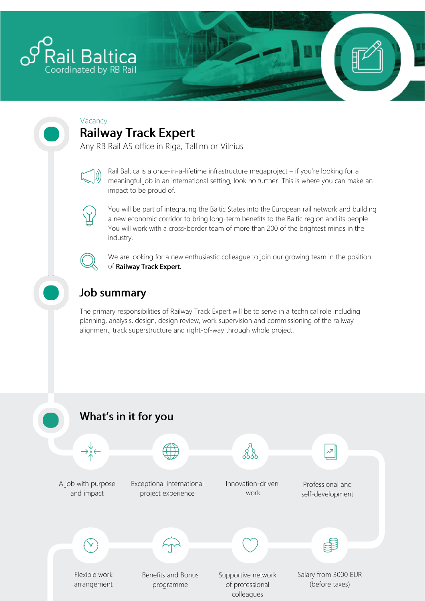

#### Vacancy **Railway Track Expert**

Any RB Rail AS office in Riga, Tallinn or Vilnius

Rail Baltica is a once-in-a-lifetime infrastructure megaproject – if you're looking for a meaningful job in an international setting, look no further. This is where you can make an impact to be proud of.



You will be part of integrating the Baltic States into the European rail network and building a new economic corridor to bring long-term benefits to the Baltic region and its people. You will work with a cross-border team of more than 200 of the brightest minds in the industry.



We are looking for a new enthusiastic colleague to join our growing team in the position of Railway Track Expert.

## **Job summary**

The primary responsibilities of Railway Track Expert will be to serve in a technical role including planning, analysis, design, design review, work supervision and commissioning of the railway alignment, track superstructure and right-of-way through whole project.